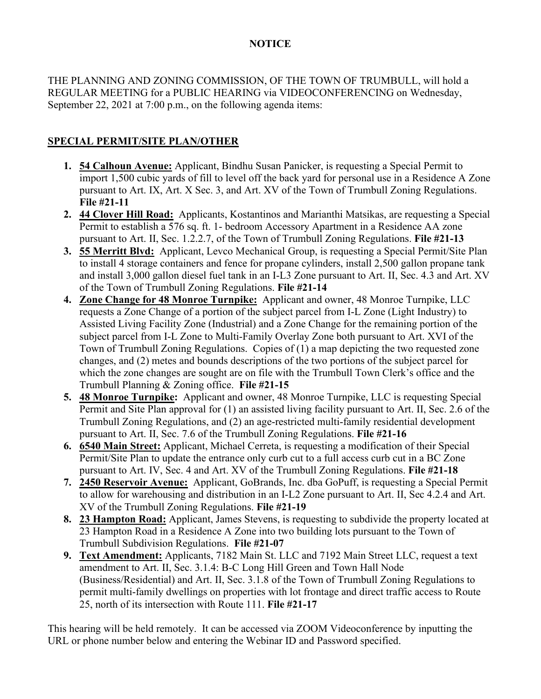## **NOTICE**

THE PLANNING AND ZONING COMMISSION, OF THE TOWN OF TRUMBULL, will hold a REGULAR MEETING for a PUBLIC HEARING via VIDEOCONFERENCING on Wednesday, September 22, 2021 at 7:00 p.m., on the following agenda items:

## **SPECIAL PERMIT/SITE PLAN/OTHER**

- **1. 54 Calhoun Avenue:** Applicant, Bindhu Susan Panicker, is requesting a Special Permit to import 1,500 cubic yards of fill to level off the back yard for personal use in a Residence A Zone pursuant to Art. IX, Art. X Sec. 3, and Art. XV of the Town of Trumbull Zoning Regulations. **File #21-11**
- **2. 44 Clover Hill Road:** Applicants, Kostantinos and Marianthi Matsikas, are requesting a Special Permit to establish a 576 sq. ft. 1- bedroom Accessory Apartment in a Residence AA zone pursuant to Art. II, Sec. 1.2.2.7, of the Town of Trumbull Zoning Regulations. **File #21-13**
- **3. 55 Merritt Blvd:** Applicant, Levco Mechanical Group, is requesting a Special Permit/Site Plan to install 4 storage containers and fence for propane cylinders, install 2,500 gallon propane tank and install 3,000 gallon diesel fuel tank in an I-L3 Zone pursuant to Art. II, Sec. 4.3 and Art. XV of the Town of Trumbull Zoning Regulations. **File #21-14**
- **4. Zone Change for 48 Monroe Turnpike:** Applicant and owner, 48 Monroe Turnpike, LLC requests a Zone Change of a portion of the subject parcel from I-L Zone (Light Industry) to Assisted Living Facility Zone (Industrial) and a Zone Change for the remaining portion of the subject parcel from I-L Zone to Multi-Family Overlay Zone both pursuant to Art. XVI of the Town of Trumbull Zoning Regulations. Copies of (1) a map depicting the two requested zone changes, and (2) metes and bounds descriptions of the two portions of the subject parcel for which the zone changes are sought are on file with the Trumbull Town Clerk's office and the Trumbull Planning & Zoning office. **File #21-15**
- **5. 48 Monroe Turnpike:** Applicant and owner, 48 Monroe Turnpike, LLC is requesting Special Permit and Site Plan approval for (1) an assisted living facility pursuant to Art. II, Sec. 2.6 of the Trumbull Zoning Regulations, and (2) an age-restricted multi-family residential development pursuant to Art. II, Sec. 7.6 of the Trumbull Zoning Regulations. **File #21-16**
- **6. 6540 Main Street:** Applicant, Michael Cerreta, is requesting a modification of their Special Permit/Site Plan to update the entrance only curb cut to a full access curb cut in a BC Zone pursuant to Art. IV, Sec. 4 and Art. XV of the Trumbull Zoning Regulations. **File #21-18**
- **7. 2450 Reservoir Avenue:** Applicant, GoBrands, Inc. dba GoPuff, is requesting a Special Permit to allow for warehousing and distribution in an I-L2 Zone pursuant to Art. II, Sec 4.2.4 and Art. XV of the Trumbull Zoning Regulations. **File #21-19**
- **8. 23 Hampton Road:** Applicant, James Stevens, is requesting to subdivide the property located at 23 Hampton Road in a Residence A Zone into two building lots pursuant to the Town of Trumbull Subdivision Regulations. **File #21-07**
- **9. Text Amendment:** Applicants, 7182 Main St. LLC and 7192 Main Street LLC, request a text amendment to Art. II, Sec. 3.1.4: B-C Long Hill Green and Town Hall Node (Business/Residential) and Art. II, Sec. 3.1.8 of the Town of Trumbull Zoning Regulations to permit multi-family dwellings on properties with lot frontage and direct traffic access to Route 25, north of its intersection with Route 111. **File #21-17**

This hearing will be held remotely. It can be accessed via ZOOM Videoconference by inputting the URL or phone number below and entering the Webinar ID and Password specified.